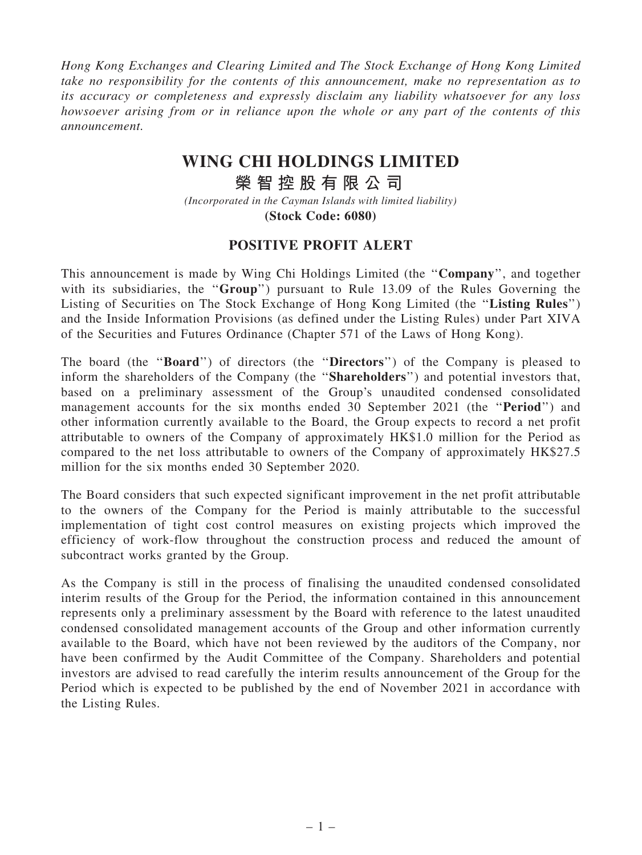Hong Kong Exchanges and Clearing Limited and The Stock Exchange of Hong Kong Limited take no responsibility for the contents of this announcement, make no representation as to its accuracy or completeness and expressly disclaim any liability whatsoever for any loss howsoever arising from or in reliance upon the whole or any part of the contents of this announcement.

## **WING CHI HOLDINGS LIMITED**

**榮 智 控 股 有 限 公 司**

*(Incorporated in the Cayman Islands with limited liability)* **(Stock Code: 6080)**

## POSITIVE PROFIT ALERT

This announcement is made by Wing Chi Holdings Limited (the ''Company'', and together with its subsidiaries, the "Group") pursuant to Rule 13.09 of the Rules Governing the Listing of Securities on The Stock Exchange of Hong Kong Limited (the ''Listing Rules'') and the Inside Information Provisions (as defined under the Listing Rules) under Part XIVA of the Securities and Futures Ordinance (Chapter 571 of the Laws of Hong Kong).

The board (the ''Board'') of directors (the ''Directors'') of the Company is pleased to inform the shareholders of the Company (the ''Shareholders'') and potential investors that, based on a preliminary assessment of the Group's unaudited condensed consolidated management accounts for the six months ended 30 September 2021 (the ''Period'') and other information currently available to the Board, the Group expects to record a net profit attributable to owners of the Company of approximately HK\$1.0 million for the Period as compared to the net loss attributable to owners of the Company of approximately HK\$27.5 million for the six months ended 30 September 2020.

The Board considers that such expected significant improvement in the net profit attributable to the owners of the Company for the Period is mainly attributable to the successful implementation of tight cost control measures on existing projects which improved the efficiency of work-flow throughout the construction process and reduced the amount of subcontract works granted by the Group.

As the Company is still in the process of finalising the unaudited condensed consolidated interim results of the Group for the Period, the information contained in this announcement represents only a preliminary assessment by the Board with reference to the latest unaudited condensed consolidated management accounts of the Group and other information currently available to the Board, which have not been reviewed by the auditors of the Company, nor have been confirmed by the Audit Committee of the Company. Shareholders and potential investors are advised to read carefully the interim results announcement of the Group for the Period which is expected to be published by the end of November 2021 in accordance with the Listing Rules.